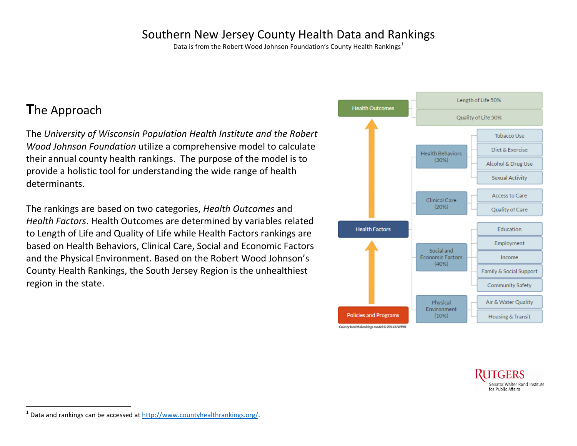## Southern New Jersey County Health Data and Rankings

Data is from the Robert Wood Johnson Foundation's County Health Rankings<sup>[1](#page-0-0)</sup>

## **T**he Approach

The *University of Wisconsin Population Health Institute and the Robert Wood Johnson Foundation* utilize a comprehensive model to calculate their annual county health rankings. The purpose of the model is to provide a holistic tool for understanding the wide range of health determinants.

The rankings are based on two categories, *Health Outcomes* and *Health Factors*. Health Outcomes are determined by variables related to Length of Life and Quality of Life while Health Factors rankings are based on Health Behaviors, Clinical Care, Social and Economic Factors and the Physical Environment. Based on the Robert Wood Johnson's County Health Rankings, the South Jersey Region is the unhealthiest region in the state.

<span id="page-0-0"></span>



 $1$  Data and rankings can be accessed at http://www.countyhealthrankings.org/.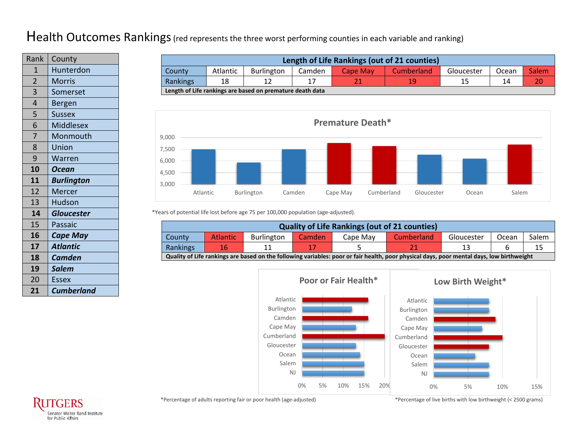## Health Outcomes Rankings (red represents the three worst performing counties in each variable and ranking)

| Rank           | County            |
|----------------|-------------------|
| 1              | Hunterdon         |
| $\overline{2}$ | <b>Morris</b>     |
| 3              | Somerset          |
| $\overline{4}$ | Bergen            |
| 5              | <b>Sussex</b>     |
| 6              | <b>Middlesex</b>  |
| 7              | Monmouth          |
| 8              | Union             |
| 9              | Warren            |
| 10             | Ocean             |
| 11             | <b>Burlington</b> |
| 12             | Mercer            |
| 13             | <b>Hudson</b>     |
| 14             | <b>Gloucester</b> |
| 15             | Passaic           |
| 16             | <b>Cape May</b>   |
| 17             | <b>Atlantic</b>   |
| 18             | <b>Camden</b>     |
| 19             | <b>Salem</b>      |
| 20             | <b>Essex</b>      |
| 21             | <b>Cumberland</b> |

| Length of Life Rankings (out of 21 counties) |                                                                                                          |    |  |  |    |  |    |    |  |  |  |  |
|----------------------------------------------|----------------------------------------------------------------------------------------------------------|----|--|--|----|--|----|----|--|--|--|--|
| County                                       | Cumberland<br><b>Salem</b><br><b>Atlantic</b><br>Burlington<br>Camden<br>Cape May<br>Gloucester<br>Ocean |    |  |  |    |  |    |    |  |  |  |  |
| Rankings                                     | 18                                                                                                       | 12 |  |  | 10 |  | 14 | 20 |  |  |  |  |
|                                              | Length of Life rankings are based on premature death data                                                |    |  |  |    |  |    |    |  |  |  |  |



\*Years of potential life lost before age 75 per 100,000 population (age-adjusted).

| <b>Quality of Life Rankings (out of 21 counties)</b>                                                                                      |                                                                                                          |  |  |  |  |  |  |  |  |  |  |
|-------------------------------------------------------------------------------------------------------------------------------------------|----------------------------------------------------------------------------------------------------------|--|--|--|--|--|--|--|--|--|--|
| County                                                                                                                                    | <b>Atlantic</b><br>Cumberland<br><b>Burlington</b><br>Salem<br>Cape May<br>Gloucester<br>Ocean<br>Camden |  |  |  |  |  |  |  |  |  |  |
| 16<br><b>Rankings</b><br>11                                                                                                               |                                                                                                          |  |  |  |  |  |  |  |  |  |  |
| Quality of Life rankings are based on the following variables: poor or fair health, poor physical days, poor mental days, low birthweight |                                                                                                          |  |  |  |  |  |  |  |  |  |  |





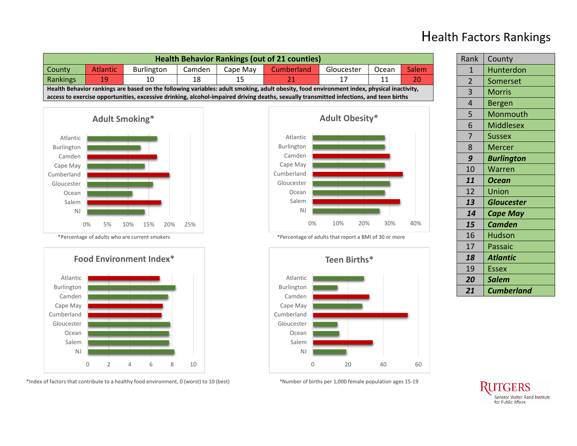

## Health Factors Rankings

Rank | County

NJ Salem Ocean Gloucester

0 20 40 60

| $\overline{1}$ | Hunterdon         |
|----------------|-------------------|
| $\overline{2}$ | Somerset          |
| 3              | <b>Morris</b>     |
| 4              | <b>Bergen</b>     |
| 5              | Monmouth          |
| 6              | <b>Middlesex</b>  |
| $\overline{7}$ | <b>Sussex</b>     |
| 8              | <b>Mercer</b>     |
| 9              | <b>Burlington</b> |
| 10             | Warren            |
| 11             | <b>Ocean</b>      |
| 12             | <b>Union</b>      |
| 13             | <b>Gloucester</b> |
| 14             | <b>Cape May</b>   |
| 15             | <b>Camden</b>     |
| 16             | <b>Hudson</b>     |
| 17             | Passaic           |
| 18             | <b>Atlantic</b>   |
| 19             | <b>Essex</b>      |
| 20             | <b>Salem</b>      |
| 21             | <b>Cumberland</b> |

\*Index of factors that contribute to a healthy food environment, 0 (worst) to 10 (best) \*Number of births per 1,000 female population ages 15-19

NJ Salem Ocean Gloucester

0 2 4 6 8 10

Senator Walter Rand Institute for Public Affairs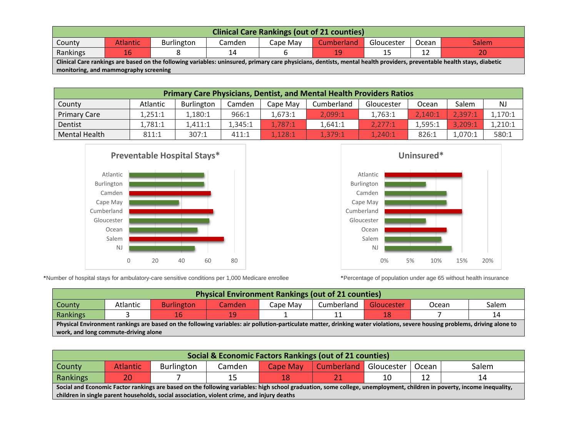| <b>Clinical Care Rankings (out of 21 counties)</b>                                                                                                                     |    |  |    |  |    |  |  |    |  |
|------------------------------------------------------------------------------------------------------------------------------------------------------------------------|----|--|----|--|----|--|--|----|--|
| <b>Cumberland</b><br><b>Atlantic</b><br><b>Burlington</b><br>Gloucester<br><b>Salem</b><br>County<br>Cape Mav<br>Ocean<br>Camden                                       |    |  |    |  |    |  |  |    |  |
| Rankings                                                                                                                                                               | 16 |  | 14 |  | 19 |  |  | 20 |  |
| Clinical Care rankings are based on the following variables: uninsured, primary care physicians, dentists, mental health providers, preventable health stays, diabetic |    |  |    |  |    |  |  |    |  |
| monitoring, and mammography screening                                                                                                                                  |    |  |    |  |    |  |  |    |  |

| <b>Primary Care Physicians, Dentist, and Mental Health Providers Ratios</b>                                 |         |         |         |         |         |         |         |         |           |  |  |
|-------------------------------------------------------------------------------------------------------------|---------|---------|---------|---------|---------|---------|---------|---------|-----------|--|--|
| Salem<br>Cumberland<br>Atlantic<br>County<br><b>Burlington</b><br>Camden<br>Gloucester<br>Cape May<br>Ocean |         |         |         |         |         |         |         |         | <b>NJ</b> |  |  |
| <b>Primary Care</b>                                                                                         | 1.251:1 | 1,180:1 | 966:1   | 1.673:1 | 2.099:1 | 1,763:1 | 2.140:1 | 2,397:1 | 1,170:1   |  |  |
| Dentist                                                                                                     | l.781:1 | 1.411:1 | 1.345:1 | 1.787:1 | 1.641:1 | 2.277:1 | 1.595:1 | 3.209:1 | 1,210:1   |  |  |
| Mental Health                                                                                               | 811:1   | 307:1   | 411:1   | 1.128:1 | 1.379:1 | 1.240:1 | 826:1   | 1,070:1 | 580:1     |  |  |





\*Number of hospital stays for ambulatory-care sensitive conditions per 1,000 Medicare enrollee \*Percentage of population under age 65 without health insurance

| <b>Physical Environment Rankings (out of 21 counties)</b>                                                                                                                  |  |    |    |  |  |  |  |    |  |  |  |
|----------------------------------------------------------------------------------------------------------------------------------------------------------------------------|--|----|----|--|--|--|--|----|--|--|--|
| Salem<br>Cumberland<br>Atlantic<br><b>Burlington</b><br>County<br>Cape Mav<br><b>Gloucester</b><br>Ocean<br>Camden                                                         |  |    |    |  |  |  |  |    |  |  |  |
| Rankings                                                                                                                                                                   |  | 16 | 19 |  |  |  |  | 14 |  |  |  |
| Physical Environment rankings are based on the following variables: air pollution-particulate matter, drinking water violations, severe housing problems, driving alone to |  |    |    |  |  |  |  |    |  |  |  |
| work, and long commute-driving alone                                                                                                                                       |  |    |    |  |  |  |  |    |  |  |  |

| Social & Economic Factors Rankings (out of 21 counties)                                                                                                               |    |  |    |    |  |  |    |    |  |
|-----------------------------------------------------------------------------------------------------------------------------------------------------------------------|----|--|----|----|--|--|----|----|--|
| Cumberland<br>Gloucester  <br><b>Atlantic</b><br>Salem<br>Camden<br>Burlington<br>Ocean<br>Cape May<br>County                                                         |    |  |    |    |  |  |    |    |  |
| Rankings                                                                                                                                                              | 20 |  | 15 | 18 |  |  | 12 | 14 |  |
| Social and Economic Factor rankings are based on the following variables: high school graduation, some college, unemployment, children in poverty, income inequality, |    |  |    |    |  |  |    |    |  |
| children in single parent households, social association, violent crime, and injury deaths                                                                            |    |  |    |    |  |  |    |    |  |